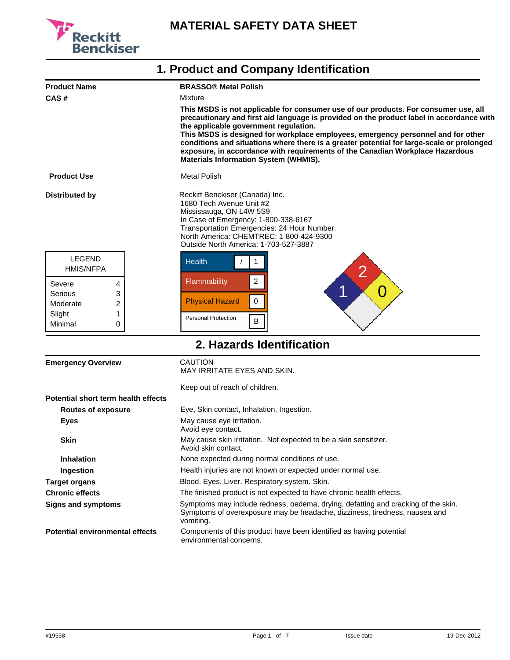

| <b>Product Name</b>               |        | <b>BRASSO® Metal Polish</b>                                                                                                                                                                                                                                                                                                                                                                                                                                                                                                                |
|-----------------------------------|--------|--------------------------------------------------------------------------------------------------------------------------------------------------------------------------------------------------------------------------------------------------------------------------------------------------------------------------------------------------------------------------------------------------------------------------------------------------------------------------------------------------------------------------------------------|
| CAS#                              |        | Mixture                                                                                                                                                                                                                                                                                                                                                                                                                                                                                                                                    |
|                                   |        | This MSDS is not applicable for consumer use of our products. For consumer use, all<br>precautionary and first aid language is provided on the product label in accordance with<br>the applicable government regulation.<br>This MSDS is designed for workplace employees, emergency personnel and for other<br>conditions and situations where there is a greater potential for large-scale or prolonged<br>exposure, in accordance with requirements of the Canadian Workplace Hazardous<br><b>Materials Information System (WHMIS).</b> |
| <b>Product Use</b>                |        | Metal Polish                                                                                                                                                                                                                                                                                                                                                                                                                                                                                                                               |
| <b>Distributed by</b>             |        | Reckitt Benckiser (Canada) Inc.<br>1680 Tech Avenue Unit #2<br>Mississauga, ON L4W 5S9<br>In Case of Emergency: 1-800-338-6167<br>Transportation Emergencies: 24 Hour Number:<br>North America: CHEMTREC: 1-800-424-9300<br>Outside North America: 1-703-527-3887                                                                                                                                                                                                                                                                          |
| <b>LEGEND</b><br><b>HMIS/NFPA</b> |        | <b>Health</b>                                                                                                                                                                                                                                                                                                                                                                                                                                                                                                                              |
| Severe                            | 4      | 2<br>Flammability<br>J                                                                                                                                                                                                                                                                                                                                                                                                                                                                                                                     |
| Serious<br>Moderate               | 3<br>2 | <b>Physical Hazard</b><br>$\Omega$                                                                                                                                                                                                                                                                                                                                                                                                                                                                                                         |
| Slight<br>Minimal                 | 0      | Personal Protection<br>B                                                                                                                                                                                                                                                                                                                                                                                                                                                                                                                   |

#### **1. Product and Company Identification**

# **2. Hazards Identification**

| <b>Emergency Overview</b>              | <b>CAUTION</b><br>MAY IRRITATE EYES AND SKIN.                                                                                                                                |
|----------------------------------------|------------------------------------------------------------------------------------------------------------------------------------------------------------------------------|
|                                        | Keep out of reach of children.                                                                                                                                               |
| Potential short term health effects    |                                                                                                                                                                              |
| <b>Routes of exposure</b>              | Eye, Skin contact, Inhalation, Ingestion.                                                                                                                                    |
| <b>Eyes</b>                            | May cause eye irritation.<br>Avoid eye contact.                                                                                                                              |
| <b>Skin</b>                            | May cause skin irritation. Not expected to be a skin sensitizer.<br>Avoid skin contact.                                                                                      |
| <b>Inhalation</b>                      | None expected during normal conditions of use.                                                                                                                               |
| Ingestion                              | Health injuries are not known or expected under normal use.                                                                                                                  |
| <b>Target organs</b>                   | Blood. Eyes. Liver. Respiratory system. Skin.                                                                                                                                |
| <b>Chronic effects</b>                 | The finished product is not expected to have chronic health effects.                                                                                                         |
| Signs and symptoms                     | Symptoms may include redness, oedema, drying, defatting and cracking of the skin.<br>Symptoms of overexposure may be headache, dizziness, tiredness, nausea and<br>vomiting. |
| <b>Potential environmental effects</b> | Components of this product have been identified as having potential<br>environmental concerns.                                                                               |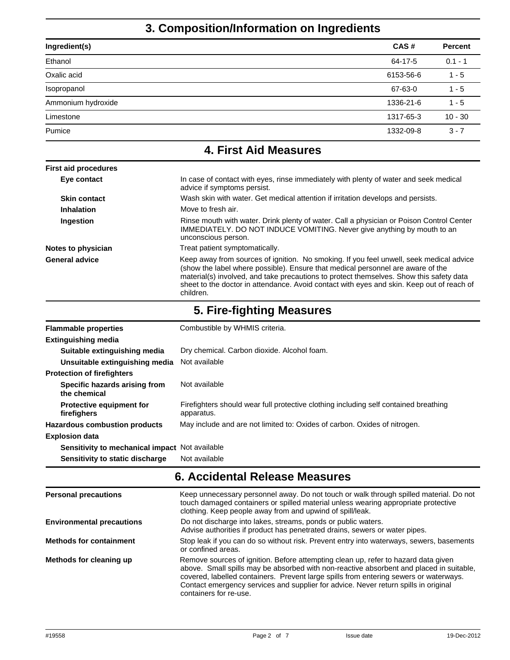# **3. Composition/Information on Ingredients**

| Ingredient(s)      | CAS#      | <b>Percent</b> |
|--------------------|-----------|----------------|
| Ethanol            | 64-17-5   | $0.1 - 1$      |
| Oxalic acid        | 6153-56-6 | $1 - 5$        |
| Isopropanol        | 67-63-0   | $1 - 5$        |
| Ammonium hydroxide | 1336-21-6 | $1 - 5$        |
| Limestone          | 1317-65-3 | $10 - 30$      |
| Pumice             | 1332-09-8 | $3 - 7$        |
|                    |           |                |

# **4. First Aid Measures**

| <b>First aid procedures</b> |                                                                                                                                                                                                                                                                                                                                                                                 |
|-----------------------------|---------------------------------------------------------------------------------------------------------------------------------------------------------------------------------------------------------------------------------------------------------------------------------------------------------------------------------------------------------------------------------|
| Eye contact                 | In case of contact with eyes, rinse immediately with plenty of water and seek medical<br>advice if symptoms persist.                                                                                                                                                                                                                                                            |
| <b>Skin contact</b>         | Wash skin with water. Get medical attention if irritation develops and persists.                                                                                                                                                                                                                                                                                                |
| <b>Inhalation</b>           | Move to fresh air.                                                                                                                                                                                                                                                                                                                                                              |
| <b>Ingestion</b>            | Rinse mouth with water. Drink plenty of water. Call a physician or Poison Control Center<br>IMMEDIATELY. DO NOT INDUCE VOMITING. Never give anything by mouth to an<br>unconscious person.                                                                                                                                                                                      |
| Notes to physician          | Treat patient symptomatically.                                                                                                                                                                                                                                                                                                                                                  |
| <b>General advice</b>       | Keep away from sources of ignition. No smoking. If you feel unwell, seek medical advice<br>(show the label where possible). Ensure that medical personnel are aware of the<br>material(s) involved, and take precautions to protect themselves. Show this safety data<br>sheet to the doctor in attendance. Avoid contact with eyes and skin. Keep out of reach of<br>children. |
|                             | 5. Fire-fighting Measures                                                                                                                                                                                                                                                                                                                                                       |

| <b>Flammable properties</b>                           | Combustible by WHMIS criteria.                                                                     |
|-------------------------------------------------------|----------------------------------------------------------------------------------------------------|
| <b>Extinguishing media</b>                            |                                                                                                    |
| Suitable extinguishing media                          | Dry chemical. Carbon dioxide. Alcohol foam.                                                        |
| Unsuitable extinguishing media                        | Not available                                                                                      |
| <b>Protection of firefighters</b>                     |                                                                                                    |
| Specific hazards arising from<br>the chemical         | Not available                                                                                      |
| <b>Protective equipment for</b><br>firefighers        | Firefighters should wear full protective clothing including self contained breathing<br>apparatus. |
| <b>Hazardous combustion products</b>                  | May include and are not limited to: Oxides of carbon. Oxides of nitrogen.                          |
| <b>Explosion data</b>                                 |                                                                                                    |
| <b>Sensitivity to mechanical impact</b> Not available |                                                                                                    |
| Sensitivity to static discharge                       | Not available                                                                                      |

#### **6. Accidental Release Measures**

| <b>Personal precautions</b>      | Keep unnecessary personnel away. Do not touch or walk through spilled material. Do not<br>touch damaged containers or spilled material unless wearing appropriate protective<br>clothing. Keep people away from and upwind of spill/leak.                                                                                                                                               |
|----------------------------------|-----------------------------------------------------------------------------------------------------------------------------------------------------------------------------------------------------------------------------------------------------------------------------------------------------------------------------------------------------------------------------------------|
| <b>Environmental precautions</b> | Do not discharge into lakes, streams, ponds or public waters.<br>Advise authorities if product has penetrated drains, sewers or water pipes.                                                                                                                                                                                                                                            |
| <b>Methods for containment</b>   | Stop leak if you can do so without risk. Prevent entry into waterways, sewers, basements<br>or confined areas.                                                                                                                                                                                                                                                                          |
| Methods for cleaning up          | Remove sources of ignition. Before attempting clean up, refer to hazard data given<br>above. Small spills may be absorbed with non-reactive absorbent and placed in suitable,<br>covered, labelled containers. Prevent large spills from entering sewers or waterways.<br>Contact emergency services and supplier for advice. Never return spills in original<br>containers for re-use. |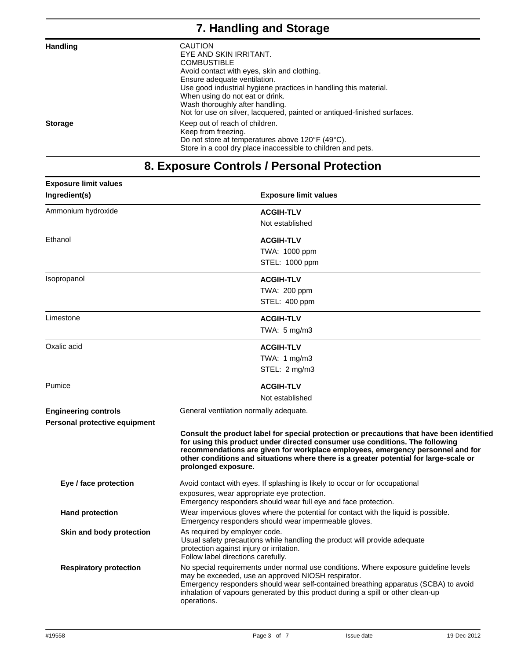| 7. Handling and Storage |                                                                                                                                                                                                                                                                                                                                                                     |  |
|-------------------------|---------------------------------------------------------------------------------------------------------------------------------------------------------------------------------------------------------------------------------------------------------------------------------------------------------------------------------------------------------------------|--|
| <b>Handling</b>         | <b>CAUTION</b><br>EYE AND SKIN IRRITANT.<br><b>COMBUSTIBLE</b><br>Avoid contact with eyes, skin and clothing.<br>Ensure adequate ventilation.<br>Use good industrial hygiene practices in handling this material.<br>When using do not eat or drink.<br>Wash thoroughly after handling.<br>Not for use on silver, lacquered, painted or antiqued-finished surfaces. |  |
| <b>Storage</b>          | Keep out of reach of children.<br>Keep from freezing.<br>Do not store at temperatures above 120°F (49°C).<br>Store in a cool dry place inaccessible to children and pets.                                                                                                                                                                                           |  |

# **8. Exposure Controls / Personal Protection**

| <b>Exposure limit values</b>  |                                                                                                                                                                                                                                                                                                                                                                             |
|-------------------------------|-----------------------------------------------------------------------------------------------------------------------------------------------------------------------------------------------------------------------------------------------------------------------------------------------------------------------------------------------------------------------------|
| Ingredient(s)                 | <b>Exposure limit values</b>                                                                                                                                                                                                                                                                                                                                                |
| Ammonium hydroxide            | <b>ACGIH-TLV</b>                                                                                                                                                                                                                                                                                                                                                            |
|                               | Not established                                                                                                                                                                                                                                                                                                                                                             |
| Ethanol                       | <b>ACGIH-TLV</b>                                                                                                                                                                                                                                                                                                                                                            |
|                               | TWA: 1000 ppm                                                                                                                                                                                                                                                                                                                                                               |
|                               | STEL: 1000 ppm                                                                                                                                                                                                                                                                                                                                                              |
| Isopropanol                   | <b>ACGIH-TLV</b>                                                                                                                                                                                                                                                                                                                                                            |
|                               | TWA: 200 ppm                                                                                                                                                                                                                                                                                                                                                                |
|                               | STEL: 400 ppm                                                                                                                                                                                                                                                                                                                                                               |
| Limestone                     | <b>ACGIH-TLV</b>                                                                                                                                                                                                                                                                                                                                                            |
|                               | TWA: $5 \text{ mg/m3}$                                                                                                                                                                                                                                                                                                                                                      |
| Oxalic acid                   | <b>ACGIH-TLV</b>                                                                                                                                                                                                                                                                                                                                                            |
|                               | TWA: 1 mg/m3                                                                                                                                                                                                                                                                                                                                                                |
|                               | STEL: 2 mg/m3                                                                                                                                                                                                                                                                                                                                                               |
| Pumice                        | <b>ACGIH-TLV</b>                                                                                                                                                                                                                                                                                                                                                            |
|                               | Not established                                                                                                                                                                                                                                                                                                                                                             |
| <b>Engineering controls</b>   | General ventilation normally adequate.                                                                                                                                                                                                                                                                                                                                      |
| Personal protective equipment |                                                                                                                                                                                                                                                                                                                                                                             |
|                               | Consult the product label for special protection or precautions that have been identified<br>for using this product under directed consumer use conditions. The following<br>recommendations are given for workplace employees, emergency personnel and for<br>other conditions and situations where there is a greater potential for large-scale or<br>prolonged exposure. |
| Eye / face protection         | Avoid contact with eyes. If splashing is likely to occur or for occupational                                                                                                                                                                                                                                                                                                |
|                               | exposures, wear appropriate eye protection.<br>Emergency responders should wear full eye and face protection.                                                                                                                                                                                                                                                               |
| <b>Hand protection</b>        | Wear impervious gloves where the potential for contact with the liquid is possible.<br>Emergency responders should wear impermeable gloves.                                                                                                                                                                                                                                 |
| Skin and body protection      | As required by employer code.<br>Usual safety precautions while handling the product will provide adequate<br>protection against injury or irritation.<br>Follow label directions carefully.                                                                                                                                                                                |
| <b>Respiratory protection</b> | No special requirements under normal use conditions. Where exposure guideline levels<br>may be exceeded, use an approved NIOSH respirator.<br>Emergency responders should wear self-contained breathing apparatus (SCBA) to avoid<br>inhalation of vapours generated by this product during a spill or other clean-up<br>operations.                                        |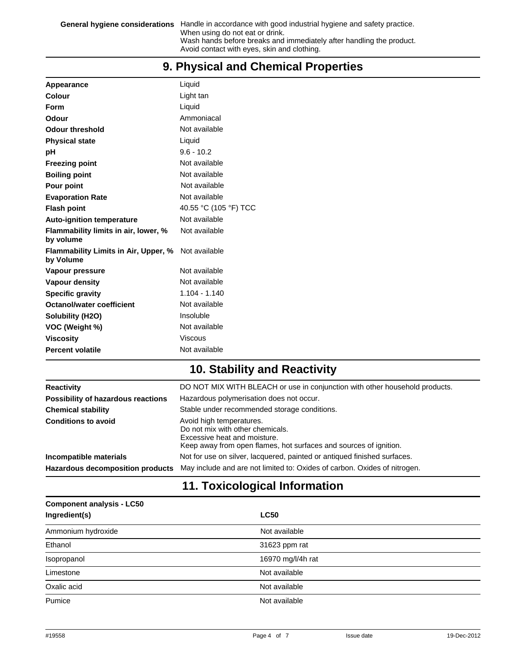## **9. Physical and Chemical Properties**

| Appearance                                        | Liquid                |
|---------------------------------------------------|-----------------------|
| Colour                                            | Light tan             |
| Form                                              | Liquid                |
| Odour                                             | Ammoniacal            |
| Odour threshold                                   | Not available         |
| <b>Physical state</b>                             | Liquid                |
| рH                                                | $9.6 - 10.2$          |
| <b>Freezing point</b>                             | Not available         |
| <b>Boiling point</b>                              | Not available         |
| <b>Pour point</b>                                 | Not available         |
| <b>Evaporation Rate</b>                           | Not available         |
| <b>Flash point</b>                                | 40.55 °C (105 °F) TCC |
| <b>Auto-ignition temperature</b>                  | Not available         |
| Flammability limits in air, lower, %<br>by volume | Not available         |
| Flammability Limits in Air, Upper, %<br>by Volume | Not available         |
| Vapour pressure                                   | Not available         |
| <b>Vapour density</b>                             | Not available         |
| <b>Specific gravity</b>                           | 1.104 - 1.140         |
| Octanol/water coefficient                         | Not available         |
| Solubility (H2O)                                  | Insoluble             |
| VOC (Weight %)                                    | Not available         |
| <b>Viscosity</b>                                  | <b>Viscous</b>        |
| <b>Percent volatile</b>                           | Not available         |
|                                                   |                       |

#### **10. Stability and Reactivity**

| <b>Reactivity</b>                  | DO NOT MIX WITH BLEACH or use in conjunction with other household products.                                                                                       |
|------------------------------------|-------------------------------------------------------------------------------------------------------------------------------------------------------------------|
| Possibility of hazardous reactions | Hazardous polymerisation does not occur.                                                                                                                          |
| <b>Chemical stability</b>          | Stable under recommended storage conditions.                                                                                                                      |
| <b>Conditions to avoid</b>         | Avoid high temperatures.<br>Do not mix with other chemicals.<br>Excessive heat and moisture.<br>Keep away from open flames, hot surfaces and sources of ignition. |
| Incompatible materials             | Not for use on silver, lacquered, painted or antiqued finished surfaces.                                                                                          |
| Hazardous decomposition products   | May include and are not limited to: Oxides of carbon. Oxides of nitrogen.                                                                                         |

## **11. Toxicological Information**

| <b>Component analysis - LC50</b> |                   |  |
|----------------------------------|-------------------|--|
| Ingredient(s)                    | <b>LC50</b>       |  |
| Ammonium hydroxide               | Not available     |  |
| Ethanol                          | 31623 ppm rat     |  |
| Isopropanol                      | 16970 mg/l/4h rat |  |
| Limestone                        | Not available     |  |
| Oxalic acid                      | Not available     |  |
| Pumice                           | Not available     |  |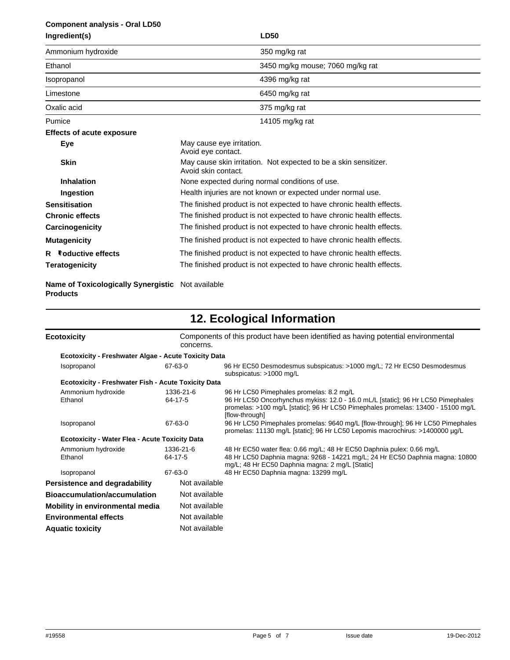#### **Component analysis - Oral LD50 Ingredient(s)**

| Ingredient(s)      | <b>LD50</b>                      |  |
|--------------------|----------------------------------|--|
| Ammonium hydroxide | 350 mg/kg rat                    |  |
| Ethanol            | 3450 mg/kg mouse; 7060 mg/kg rat |  |
| Isopropanol        | 4396 mg/kg rat                   |  |
| Limestone          | 6450 mg/kg rat                   |  |
| Oxalic acid        | 375 mg/kg rat                    |  |
| Pumice             | 14105 mg/kg rat                  |  |

#### **Effects of acute exposure**

| Eye                                          | May cause eye irritation.<br>Avoid eye contact.                                                                                              |  |  |
|----------------------------------------------|----------------------------------------------------------------------------------------------------------------------------------------------|--|--|
| <b>Skin</b>                                  | May cause skin irritation. Not expected to be a skin sensitizer.<br>Avoid skin contact.                                                      |  |  |
| <b>Inhalation</b>                            | None expected during normal conditions of use.                                                                                               |  |  |
| Ingestion                                    | Health injuries are not known or expected under normal use.                                                                                  |  |  |
| <b>Sensitisation</b>                         | The finished product is not expected to have chronic health effects.                                                                         |  |  |
| <b>Chronic effects</b>                       | The finished product is not expected to have chronic health effects.                                                                         |  |  |
| Carcinogenicity                              | The finished product is not expected to have chronic health effects.                                                                         |  |  |
| <b>Mutagenicity</b>                          | The finished product is not expected to have chronic health effects.                                                                         |  |  |
| R Foductive effects<br><b>Teratogenicity</b> | The finished product is not expected to have chronic health effects.<br>The finished product is not expected to have chronic health effects. |  |  |

Name of Toxicologically Synergistic Not available **Products**

# **12. Ecological Information**

| <b>Ecotoxicity</b>                                         | Components of this product have been identified as having potential environmental<br>concerns. |                                                                                                                                                                                        |  |
|------------------------------------------------------------|------------------------------------------------------------------------------------------------|----------------------------------------------------------------------------------------------------------------------------------------------------------------------------------------|--|
| Ecotoxicity - Freshwater Algae - Acute Toxicity Data       |                                                                                                |                                                                                                                                                                                        |  |
| Isopropanol                                                | 67-63-0                                                                                        | 96 Hr EC50 Desmodesmus subspicatus: >1000 mg/L; 72 Hr EC50 Desmodesmus<br>subspicatus: >1000 mg/L                                                                                      |  |
| <b>Ecotoxicity - Freshwater Fish - Acute Toxicity Data</b> |                                                                                                |                                                                                                                                                                                        |  |
| Ammonium hydroxide                                         | 1336-21-6                                                                                      | 96 Hr LC50 Pimephales promelas: 8.2 mg/L                                                                                                                                               |  |
| Ethanol                                                    | 64-17-5                                                                                        | 96 Hr LC50 Oncorhynchus mykiss: 12.0 - 16.0 mL/L [static]; 96 Hr LC50 Pimephales<br>promelas: >100 mg/L [static]; 96 Hr LC50 Pimephales promelas: 13400 - 15100 mg/L<br>[flow-through] |  |
| Isopropanol                                                | 67-63-0                                                                                        | 96 Hr LC50 Pimephales promelas: 9640 mg/L [flow-through]; 96 Hr LC50 Pimephales<br>promelas: 11130 mg/L [static]; 96 Hr LC50 Lepomis macrochirus: >1400000 µg/L                        |  |
| <b>Ecotoxicity - Water Flea - Acute Toxicity Data</b>      |                                                                                                |                                                                                                                                                                                        |  |
| Ammonium hydroxide                                         | 1336-21-6                                                                                      | 48 Hr EC50 water flea: 0.66 mg/L; 48 Hr EC50 Daphnia pulex: 0.66 mg/L                                                                                                                  |  |
| Ethanol                                                    | 64-17-5                                                                                        | 48 Hr LC50 Daphnia magna: 9268 - 14221 mg/L; 24 Hr EC50 Daphnia magna: 10800<br>mg/L; 48 Hr EC50 Daphnia magna: 2 mg/L [Static]                                                        |  |
| Isopropanol                                                | 67-63-0                                                                                        | 48 Hr EC50 Daphnia magna: 13299 mg/L                                                                                                                                                   |  |
| Persistence and degradability                              | Not available                                                                                  |                                                                                                                                                                                        |  |
| Bioaccumulation/accumulation                               | Not available                                                                                  |                                                                                                                                                                                        |  |
| Mobility in environmental media                            | Not available                                                                                  |                                                                                                                                                                                        |  |
| <b>Environmental effects</b>                               | Not available                                                                                  |                                                                                                                                                                                        |  |
| <b>Aquatic toxicity</b>                                    | Not available                                                                                  |                                                                                                                                                                                        |  |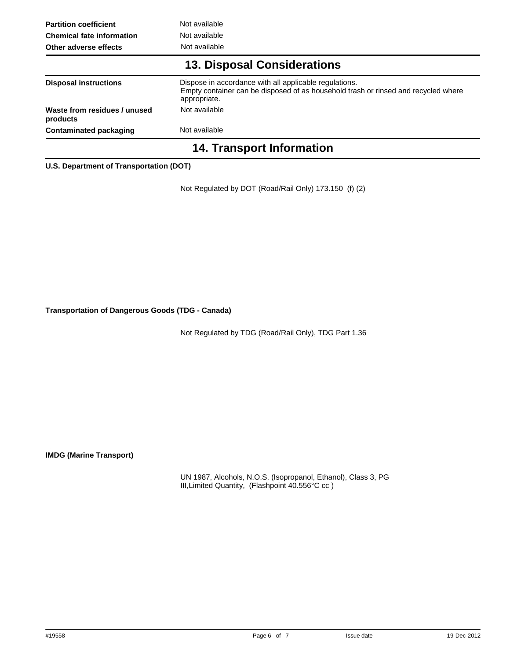| <b>Partition coefficient</b>             | Not available                                                                                                                                                |
|------------------------------------------|--------------------------------------------------------------------------------------------------------------------------------------------------------------|
| <b>Chemical fate information</b>         | Not available                                                                                                                                                |
| Other adverse effects                    | Not available                                                                                                                                                |
|                                          | <b>13. Disposal Considerations</b>                                                                                                                           |
| <b>Disposal instructions</b>             | Dispose in accordance with all applicable regulations.<br>Empty container can be disposed of as household trash or rinsed and recycled where<br>appropriate. |
| Waste from residues / unused<br>products | Not available                                                                                                                                                |
| <b>Contaminated packaging</b>            | Not available                                                                                                                                                |
|                                          | <b>14. Transport Information</b>                                                                                                                             |

**U.S. Department of Transportation (DOT)** 

Not Regulated by DOT (Road/Rail Only) 173.150 (f) (2)

**Transportation of Dangerous Goods (TDG - Canada)**

Not Regulated by TDG (Road/Rail Only), TDG Part 1.36

**IMDG (Marine Transport)** 

UN 1987, Alcohols, N.O.S. (Isopropanol, Ethanol), Class 3, PG III,Limited Quantity, (Flashpoint 40.556°C cc )